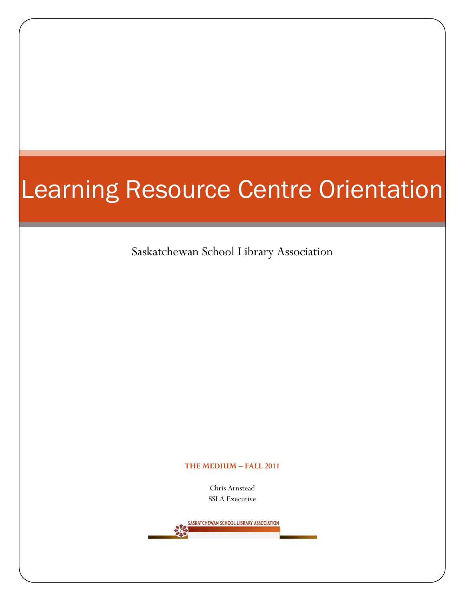## Learning Resource Centre Orientation

Saskatchewan School Library Association

## **THE MEDIUM – FALL 2011**

Chris Arnstead SSLA Executive